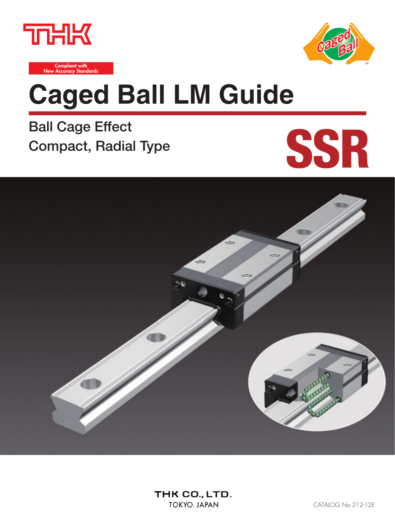



**Compliant with New Accuracy Standards**

# **Caged Ball LM Guide**

**Ball Cage Effect Compact, Radial Type**



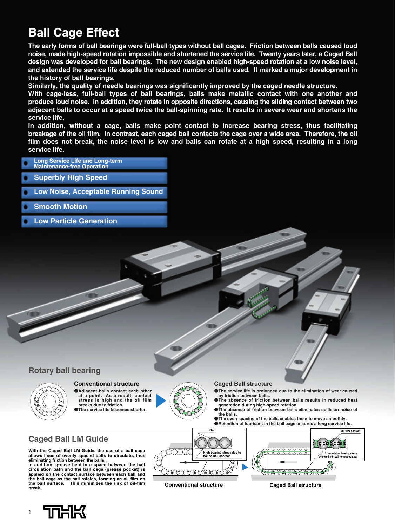## **Ball Cage Effect**

**The early forms of ball bearings were full-ball types without ball cages. Friction between balls caused loud noise, made high-speed rotation impossible and shortened the service life. Twenty years later, a Caged Ball design was developed for ball bearings. The new design enabled high-speed rotation at a low noise level, and extended the service life despite the reduced number of balls used. It marked a major development in the history of ball bearings.** 

**Similarly, the quality of needle bearings was significantly improved by the caged needle structure.**

**With cage-less, full-ball types of ball bearings, balls make metallic contact with one another and produce loud noise. In addition, they rotate in opposite directions, causing the sliding contact between two adjacent balls to occur at a speed twice the ball-spinning rate. It results in severe wear and shortens the service life.** 

**In addition, without a cage, balls make point contact to increase bearing stress, thus facilitating breakage of the oil film. In contrast, each caged ball contacts the cage over a wide area. Therefore, the oil film does not break, the noise level is low and balls can rotate at a high speed, resulting in a long service life.**

**Long Service Life and Long-term Maintenance-free Operation Superbly High Speed Low Noise, Acceptable Running Sound Smooth Motion Low Particle Generation**

**Rotary ball bearing**

### **Conventional structure**

●**Adjacent balls contact each other at a point. As a result, contact stress is high and the oil film breaks due to friction.** ●**The service life becomes shorter.**



- ●**The service life is prolonged due to the elimination of wear caused by friction between balls. OThe absence of friction between balls results in reduced heat**
- **generation during high-speed rotation.** ●**The absence of friction between balls eliminates collision noise of**
- **the balls.** ●**The even spacing of the balls enables them to move smoothly.**
- ●**Retention of lubricant in the ball cage ensures a long service life. Ball**

### **Caged Ball LM Guide**

**With the Caged Ball LM Guide, the use of a ball cage allows lines of evenly spaced balls to circulate, thus eliminating friction between the balls. In addition, grease held in a space between the ball circulation path and the ball cage (grease pocket) is applied on the contact surface between each ball and the ball cage as the ball rotates, forming an oil film on the ball surface. This minimizes the risk of oil-film break.**



1

**Oil-film contact High bearing stress due to low bearing stres ball-to-ball contact achieved with ball-to-cage contact** <del>KAN KANA</del> JOOOOOOOOOOOO

**Conventional structure Caged Ball structure**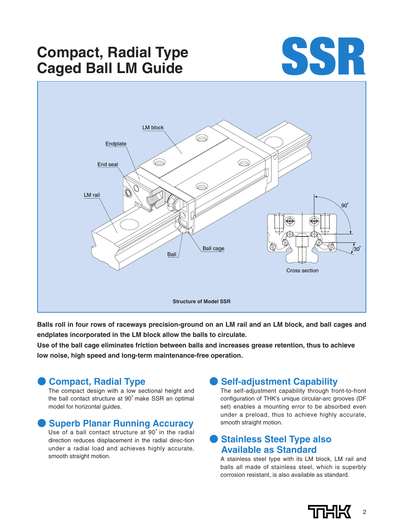## **Compact, Radial Type Caged Ball LM Guide**





**Balls roll in four rows of raceways precision-ground on an LM rail and an LM block, and ball cages and endplates incorporated in the LM block allow the balls to circulate.**

**Use of the ball cage eliminates friction between balls and increases grease retention, thus to achieve low noise, high speed and long-term maintenance-free operation.**

### ● **Compact, Radial Type**

The compact design with a low sectional height and the ball contact structure at 90°make SSR an optimal model for horizontal guides.

### **Superb Planar Running Accuracy**

Use of a ball contact structure at 90°in the radial direction reduces displacement in the radial direc-tion under a radial load and achieves highly accurate, smooth straight motion.

### **Self-adjustment Capability**

The self-adjustment capability through front-to-front configuration of THK's unique circular-arc grooves (DF set) enables a mounting error to be absorbed even under a preload, thus to achieve highly accurate, smooth straight motion.

### **Stainless Steel Type also Available as Standard**

A stainless steel type with its LM block, LM rail and balls all made of stainless steel, which is superbly corrosion resistant, is also available as standard.

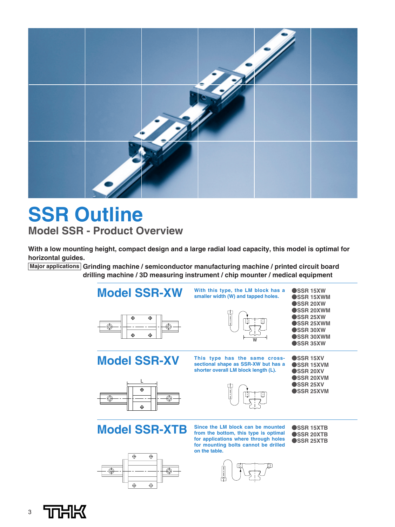

## **SSR Outline Model SSR - Product Overview**

**With a low mounting height, compact design and a large radial load capacity, this model is optimal for horizontal guides.**

**Major applications Grinding machine / semiconductor manufacturing machine / printed circuit board drilling machine / 3D measuring instrument / chip mounter / medical equipment**





**from the bottom, this type is optimal for applications where through holes for mounting bolts cannot be drilled on the table.**



●**SSR 20XTB** ●**SSR 25XTB**

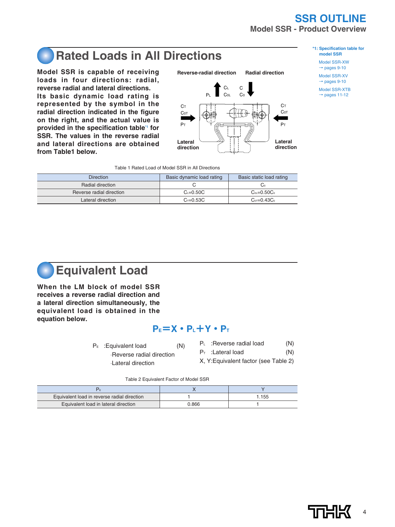## **SSR OUTLINE Model SSR - Product Overview**

## **Rated Loads in All Directions**

**Model SSR is capable of receiving loads in four directions: radial, reverse radial and lateral directions. Its basic dynamic load rating is represented by the symbol in the radial direction indicated in the figure on the right, and the actual value is provided in the specification table\*1 for SSR. The values in the reverse radial and lateral directions are obtained from Table1 below.**



### **\*1: Specification table for model SSR**

Model SSR-XW  $\rightarrow$  pages 9-10

Model SSR-XV  $\rightarrow$  pages 9-10

Model SSR-XTB  $\rightarrow$  pages 11-12

|  |  | Table 1 Rated Load of Model SSR in All Directions |
|--|--|---------------------------------------------------|

| <b>Direction</b>         | Basic dynamic load rating | Basic static load rating |
|--------------------------|---------------------------|--------------------------|
| Radial direction         |                           | ⊙ت                       |
| Reverse radial direction | $C_1 = 0.50C$             | $C_0 = 0.50C_0$          |
| Lateral direction        | $C_{\tau=0.53C}$          | $C_{0T} = 0.43C_0$       |



**When the LM block of model SSR receives a reverse radial direction and a lateral direction simultaneously, the equivalent load is obtained in the equation below.**

### **PE=X・PL+Y・PT**

- $P<sub>E</sub>$ : Equivalent load  $(N)$ 
	- ⋅Reverse radial direction
	- ⋅Lateral direction
- P<sub>L</sub> : Reverse radial load (N)
- $P_T$  : Lateral load  $(N)$
- X, Y:Equivalent factor (see Table 2)

Table 2 Equivalent Factor of Model SSR

| Equivalent load in reverse radial direction |       | 1.155 |
|---------------------------------------------|-------|-------|
| Equivalent load in lateral direction        | ე.866 |       |

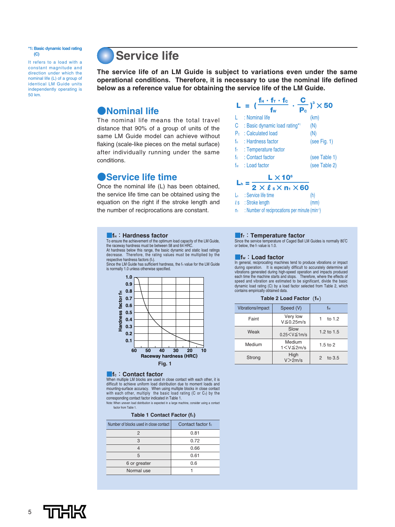**\*1: Basic dynamic load rating (C)**

It refers to a load with a constant magnitude and direction under which the nominal life (L) of a group of identical LM Guide units independently operating is 50 km.

## **Service life**

**The service life of an LM Guide is subject to variations even under the same operational conditions. Therefore, it is necessary to use the nominal life defined below as a reference value for obtaining the service life of the LM Guide.** 

### ●**Nominal life**

The nominal life means the total travel distance that 90% of a group of units of the same LM Guide model can achieve without flaking (scale-like pieces on the metal surface) after individually running under the same conditions.

### ●**Service life time**

Once the nominal life (L) has been obtained, the service life time can be obtained using the equation on the right if the stroke length and the number of reciprocations are constant.



| $2 \times l_s \times n_1 \times 60$             |      |
|-------------------------------------------------|------|
| $L_h$ : Service life time                       | (h)  |
| $\ell$ s : Stroke length                        | (mm) |
| I Number of regipropositions nor minute (min-1) |      |

 $n_1$  : Number of reciprocations per minute (min<sup>-1</sup>)

### **The**: Hardness factor

To ensure the achievement of the optimum load capacity of the LM Guide, the raceway hardness must be between 58 and 64 HRC. At hardness below this range, the basic dynamic and static load ratings decrease. Therefore, the rating values must be multiplied by the

respective hardness factors (fн).<br>Since the LM Guide has sufficient hardness, the fн value for the LM Guide is normally 1.0 unless otherwise specified.



### ■**fc: Contact factor**

When multiple LM blocks are used in close contact with each other, it is difficult to achieve uniform load distribution due to moment loads and mounting-surface accuracy. When using multiple blocks in close contact with each other, multiply the basic load rating (C or C。) by the<br>corresponding contact factor indicated in Table 1. Note: When uneven load distribution is expected in a large machine, consider using a contact

factor from Table 1.

### **Table 1 Contact Factor (fc)**

| Number of blocks used in close contact | Contact factor fo |
|----------------------------------------|-------------------|
| 2                                      | 0.81              |
| 3                                      | 0.72              |
|                                        | 0.66              |
| 5                                      | 0.61              |
| 6 or greater                           | 0.6               |
| Normal use                             |                   |

### **If<sub>T</sub>: Temperature factor**

Since the service temperature of Caged Ball LM Guides is normally 80°C or below, the  $f<sub>T</sub>$  value is 1.0.

### ■**fW**:**Load factor**

In general, reciprocating machines tend to produce vibrations or impact during operation. It is especially difficult to accurately determine all vibrations generated during high-speed operation and impacts produced each time the machine starts and stops. Therefore, where the effects of speed and vibration are estimated to be significant, divide the basic dynamic load rating (C) by a load factor selected from Table 2, which contains empirically obtained data.

### Table 2 Load Factor ( $f_w$ )

| Vibrations/impact | Speed (V)                     | fw            |  |  |  |
|-------------------|-------------------------------|---------------|--|--|--|
| Faint             | Very low<br>$V \leq 0.25$ m/s | to 1.2        |  |  |  |
| Weak              | Slow<br>$0.25 < V \le 1$ m/s  | 1.2 to $1.5$  |  |  |  |
| Medium            | Medium<br>$1 < V \leq 2m/s$   | $1.5$ to $2$  |  |  |  |
| Strong            | High<br>V>2m/s                | to $3.5$<br>2 |  |  |  |

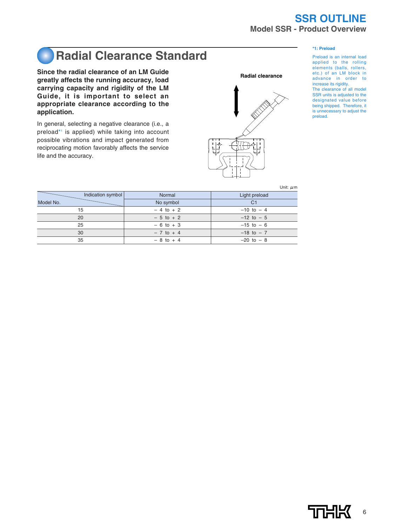## **SSR OUTLINE Model SSR - Product Overview**

### **\*1: Preload**

### Preload is an internal load applied to the rolling elements (balls, rollers, etc.) of an LM block in advance in order to increase its rigidity. The clearance of all model SSR units is adjusted to the designated value before being shipped. Therefore, it is unnecessary to adjust the preload.

## **Radial Clearance Standard**

**Since the radial clearance of an LM Guide greatly affects the running accuracy, load carrying capacity and rigidity of the LM Guide, it is important to select an appropriate clearance according to the application.**

In general, selecting a negative clearance (i.e., a preload\*1 is applied) while taking into account possible vibrations and impact generated from reciprocating motion favorably affects the service life and the accuracy.



Unit: μm

| Indication symbol | Normal       | Light preload  |
|-------------------|--------------|----------------|
| Model No.         | No symbol    | C <sub>1</sub> |
| 15                | $-4$ to $+2$ | $-10$ to $-4$  |
| 20                | $-5$ to $+2$ | $-12$ to $-5$  |
| 25                | $-6$ to $+3$ | $-15$ to $-6$  |
| 30                | $-7$ to $+4$ | $-18$ to $-7$  |
| 35                | $-8$ to $+4$ | $-20$ to $-8$  |

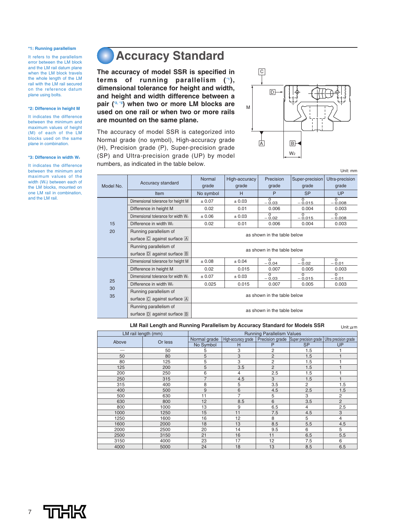### **\*1: Running parallelism**

It refers to the parallelism error between the LM block and the LM rail datum plane when the LM block travels the whole length of the LM rail with the LM rail secured on the reference datum plane using bolts.

### **\*2: Difference in height M**

It indicates the difference between the minimum and maximum values of height (M) of each of the LM blocks used on the same plane in combination.

### **\*3: Difference in width W**<sub>2</sub>

It indicates the difference between the minimum and maximum values of the width (W<sub>2</sub>) between each of the LM blocks, mounted on one LM rail in combination, and the LM rail.

## **Accuracy Standard**

**The accuracy of model SSR is specified in terms of running parallelism (\*1), dimensional tolerance for height and width, and height and width difference between a pair (\*2, \*3) when two or more LM blocks are used on one rail or when two or more rails are mounted on the same plane.**

The accuracy of model SSR is categorized into Normal grade (no symbol), High-accuracy grade (H), Precision grade (P), Super-precision grade (SP) and Ultra-precision grade (UP) by model numbers, as indicated in the table below.



Unit: mm

| Model No. | Accuracy standard                               | Normal<br>grade             | High-accuracy<br>grade | Precision<br>grade  | Super-precision<br>grade   | Ultra-precision<br>grade |  |
|-----------|-------------------------------------------------|-----------------------------|------------------------|---------------------|----------------------------|--------------------------|--|
|           | <b>Item</b>                                     | No symbol                   | H                      | P                   | <b>SP</b>                  | <b>UP</b>                |  |
|           | Dimensional tolerance for height M              | ± 0.07                      | ± 0.03                 | $\Omega$<br>$-0.03$ | $\Omega$<br>$-0.015$       | $\Omega$<br>$-0.008$     |  |
|           | Difference in height M                          | 0.02                        | 0.01                   | 0.006               | 0.004                      | 0.003                    |  |
|           | Dimensional tolerance for width W <sub>2</sub>  | ± 0.06                      | ± 0.03                 | $\Omega$<br>$-0.02$ | $\Omega$<br>$-0.015$       | $\Omega$<br>$-0.008$     |  |
| 15        | Difference in width W <sub>2</sub>              | 0.02                        | 0.01                   | 0.006               | 0.004                      | 0.003                    |  |
| 20        | Running parallelism of                          | as shown in the table below |                        |                     |                            |                          |  |
|           | surface C against surface A                     |                             |                        |                     |                            |                          |  |
|           | Running parallelism of                          | as shown in the table below |                        |                     |                            |                          |  |
|           | surface $\boxed{D}$ against surface $\boxed{B}$ |                             |                        |                     |                            |                          |  |
|           | Dimensional tolerance for height M              | ± 0.08                      | $\pm 0.04$             | $\Omega$<br>$-0.04$ | $\Omega$<br>$-0.02$        | $\Omega$<br>$-0.01$      |  |
|           | Difference in height M                          | 0.02                        | 0.015                  | 0.007               | 0.005                      | 0.003                    |  |
|           | Dimensional tolerance for width W <sub>2</sub>  | ± 0.07                      | ± 0.03                 | $\Omega$<br>$-0.03$ | $\overline{0}$<br>$-0.015$ | $\Omega$<br>$-0.01$      |  |
| 25        | Difference in width W <sub>2</sub>              | 0.025                       | 0.015                  | 0.007               | 0.005                      | 0.003                    |  |
| 30        | Running parallelism of                          | as shown in the table below |                        |                     |                            |                          |  |
| 35        | surface C against surface A                     |                             |                        |                     |                            |                          |  |
|           | Running parallelism of                          |                             |                        |                     |                            |                          |  |
|           | surface D against surface B                     | as shown in the table below |                        |                     |                            |                          |  |

### **LM Rail Length and Running Parallelism by Accuracy Standard for Models SSR** Unit: μm

| LM rail length (mm) |         | <b>Running Parallelism Values</b> |                     |                |                                                             |                |
|---------------------|---------|-----------------------------------|---------------------|----------------|-------------------------------------------------------------|----------------|
|                     |         |                                   | High-accuracy grade |                | Precision grade Super precision grade Ultra precision grade |                |
| Above               | Or less | No Symbol                         | н                   | P              | <b>SP</b>                                                   | UP             |
|                     | 50      | 5                                 | 3                   | $\overline{2}$ | 1.5                                                         |                |
| 50                  | 80      | 5                                 | 3                   | $\overline{2}$ | 1.5                                                         |                |
| 80                  | 125     | 5                                 | 3                   | $\overline{2}$ | 1.5                                                         |                |
| 125                 | 200     | 5                                 | 3.5                 | $\overline{2}$ | 1.5                                                         |                |
| 200                 | 250     | 6                                 | 4                   | 2.5            | 1.5                                                         | ۹              |
| 250                 | 315     | $\overline{7}$                    | 4.5                 | 3              | 1.5                                                         |                |
| 315                 | 400     | 8                                 | 5                   | 3.5            | 2                                                           | 1.5            |
| 400                 | 500     | 9                                 | 6                   | 4.5            | 2.5                                                         | 1.5            |
| 500                 | 630     | 11                                | $\overline{7}$      | 5              | 3                                                           | $\overline{c}$ |
| 630                 | 800     | 12                                | 8.5                 | 6              | 3.5                                                         | 2              |
| 800                 | 1000    | 13                                | 9                   | 6.5            | 4                                                           | 2.5            |
| 1000                | 1250    | 15                                | 11                  | 7.5            | 4.5                                                         | 3              |
| 1250                | 1600    | 16                                | 12                  | 8              | 5                                                           | $\overline{4}$ |
| 1600                | 2000    | 18                                | 13                  | 8.5            | 5.5                                                         | 4.5            |
| 2000                | 2500    | 20                                | 14                  | 9.5            | 6                                                           | 5              |
| 2500                | 3150    | 21                                | 16                  | 11             | 6.5                                                         | 5.5            |
| 3150                | 4000    | 23                                | 17                  | 12             | 7.5                                                         | 6              |
| 4000                | 5000    | 24                                | 18                  | 13             | 8.5                                                         | 6.5            |

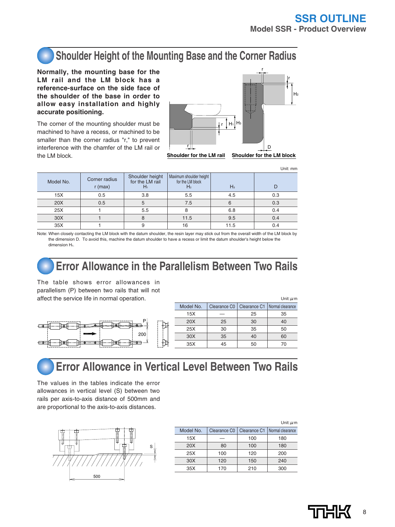Unit: mm

Unit:μm

 $U<sub>0</sub>$ it: $U<sub>0</sub>$ m

## **Shoulder Height of the Mounting Base and the Corner Radius**

**Normally, the mounting base for the LM rail and the LM block has a reference-surface on the side face of the shoulder of the base in order to allow easy installation and highly accurate positioning.**

The corner of the mounting shoulder must be machined to have a recess, or machined to be smaller than the corner radius "r," to prevent interference with the chamfer of the LM rail or the LM block.



**Shoulder for the LM rail Shoulder for the LM block**

| Model No. | Corner radius<br>$r$ (max) | Shoulder height<br>for the LM rail | Maximum shoulder height<br>for the LM block<br>H2 | $H_3$ |     |
|-----------|----------------------------|------------------------------------|---------------------------------------------------|-------|-----|
| 15X       | 0.5                        | 3.8                                | 5.5                                               | 4.5   | 0.3 |
| 20X       | 0.5                        | 5                                  | 7.5                                               |       | 0.3 |
| 25X       |                            | 5.5                                |                                                   | 6.8   | 0.4 |
| 30X       |                            |                                    | 11.5                                              | 9.5   | 0.4 |
| 35X       |                            | 9                                  | 16                                                | 11.5  | 0.4 |

Note: When closely contacting the LM block with the datum shoulder, the resin layer may stick out from the overall width of the LM block by the dimension D. To avoid this, machine the datum shoulder to have a recess or limit the datum shoulder's height below the dimension H<sub>2</sub>

## **Error Allowance in the Parallelism Between Two Rails**

The table shows error allowances in parallelism (P) between two rails that will not affect the service life in normal operation.



|           |              |    | _ _                             |
|-----------|--------------|----|---------------------------------|
| Model No. | Clearance C0 |    | Clearance C1   Normal clearance |
| 15X       |              | 25 | 35                              |
| 20X       | 25           | 30 | 40                              |
| 25X       | 30           | 35 | 50                              |
| 30X       | 35           | 40 | 60                              |
| 35X       | 45           | 50 | 70                              |
|           |              |    |                                 |

## **Error Allowance in Vertical Level Between Two Rails**

The values in the tables indicate the error allowances in vertical level (S) between two rails per axis-to-axis distance of 500mm and are proportional to the axis-to-axis distances.



|                 |                          |              | 0.000111         |
|-----------------|--------------------------|--------------|------------------|
| Model No.       | Clearance C <sub>0</sub> | Clearance C1 | Normal clearance |
| 15X             |                          | 100          | 180              |
| 20X             | 80                       | 100          | 180              |
| 25X             | 100                      | 120          | 200              |
| 30 <sub>X</sub> | 120                      | 150          | 240              |
| 35X             | 170                      | 210          | 300              |
|                 |                          |              |                  |



8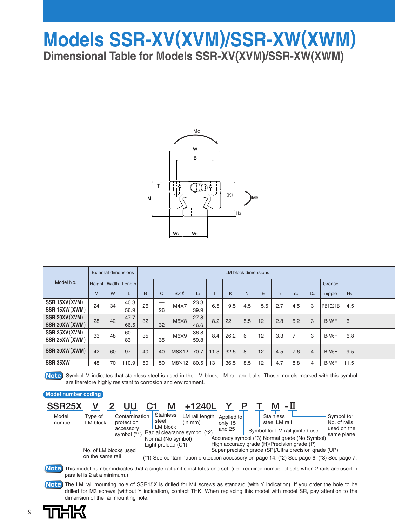## **Models SSR-XV(XVM)/SSR-XW(XWM) Dimensional Table for Models SSR-XV(XVM)/SSR-XW(XWM)**



|                |    | <b>External dimensions</b> |                         |    | <b>LM block dimensions</b> |                 |      |              |      |     |     |       |                |                |         |       |
|----------------|----|----------------------------|-------------------------|----|----------------------------|-----------------|------|--------------|------|-----|-----|-------|----------------|----------------|---------|-------|
|                |    |                            |                         |    |                            |                 |      |              |      |     |     |       |                |                |         |       |
| Model No.      |    |                            | Height   Width   Length |    |                            |                 |      |              |      |     |     |       |                |                | Grease  |       |
|                | M  | W                          | L                       | B  | C                          | $S \times \ell$ | L۱   | $\mathsf{L}$ | K    | N   | E   | $f_0$ | e <sub>0</sub> | D <sub>0</sub> | nipple  | $H_3$ |
| SSR 15XV (XVM) | 24 | 34                         | 40.3                    | 26 |                            | $M4\times7$     | 23.3 | 6.5          | 19.5 | 4.5 | 5.5 | 2.7   | 4.5            | 3              | PB1021B | 4.5   |
| SSR 15XW (XWM) |    |                            | 56.9                    |    | 26                         |                 | 39.9 |              |      |     |     |       |                |                |         |       |
| SSR 20XV (XVM) | 28 | 42                         | 47.7                    | 32 |                            | $M5\times8$     | 27.8 | 8.2          | 22   | 5.5 | 12  | 2.8   | 5.2            | 3              | B-M6F   | 6     |
| SSR 20XW (XWM) |    |                            | 66.5                    |    | 32                         |                 | 46.6 |              |      |     |     |       |                |                |         |       |
| SSR 25XV (XVM) | 33 | 48                         | 60                      | 35 | _                          | $M6\times9$     | 36.8 | 8.4          | 26.2 | 6   | 12  | 3.3   | $\overline{ }$ | 3              | B-M6F   | 6.8   |
| SSR 25XW (XWM) |    |                            | 83                      |    | 35                         |                 | 59.8 |              |      |     |     |       |                |                |         |       |
| SSR 30XW (XWM) | 42 | 60                         | 97                      | 40 | 40                         | M8×12           | 70.7 | 11.3         | 32.5 | 8   | 12  | 4.5   | 7.6            | 4              | B-M6F   | 9.5   |
| SSR 35XW       | 48 | 70                         | 110.9                   | 50 | 50                         | $M8\times12$    | 80.5 | 13           | 36.5 | 8.5 | 12  | 4.7   | 8.8            | 4              | B-M6F   | 11.5  |

**Note** Symbol M indicates that stainless steel is used in the LM block, LM rail and balls. Those models marked with this symbol are therefore highly resistant to corrosion and environment.

### **SSR25X V 2 UU C1 M +1240L Y P T M -**Ⅱ **Model number coding** Model number Type of LM block Contamination protection accessory symbol (\*1) No. of LM blocks used on the same rail LM rail length Applied to (in mm) Radial clearance symbol (\*2) Normal (No symbol) Light preload (C1) **Stainless** steel LM block only 15 and 25 Accuracy symbol (\*3) Normal grade (No Symbol) High accuracy grade (H)/Precision grade (P) Super precision grade (SP)/Ultra precision grade (UP) Symbol for LM rail jointed use **Stainless** steel LM rail Symbol for No. of rails used on the same plane (\*1) See contamination protection accessory on page 14. (\*2) See page 6. (\*3) See page 7.

This model number indicates that a single-rail unit constitutes one set. (i.e., required number of sets when 2 rails are used in **Note** parallel is 2 at a minimum.)

The LM rail mounting hole of SSR15X is drilled for M4 screws as standard (with Y indication). If you order the hole to be **Note** drilled for M3 screws (without Y indication), contact THK. When replacing this model with model SR, pay attention to the dimension of the rail mounting hole.

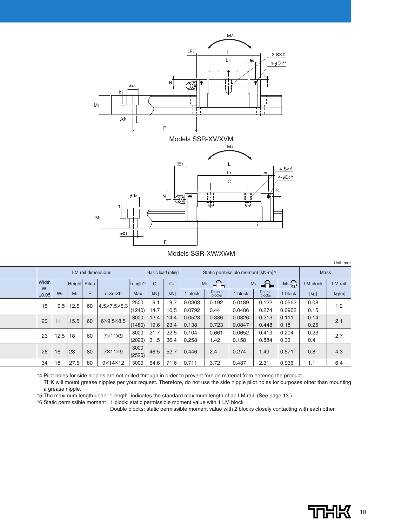

Models SSR-XW/XWM

|                |                |                | <b>LM</b> rail dimensions |                             |                      | Basic load rating |                | Static permissible moment [kN-m]*6 |                     |        |                     |        | <b>Mass</b>     |         |
|----------------|----------------|----------------|---------------------------|-----------------------------|----------------------|-------------------|----------------|------------------------------------|---------------------|--------|---------------------|--------|-----------------|---------|
| Width          |                | Height         | Pitch                     |                             | Length <sup>*5</sup> | C                 | C <sub>0</sub> |                                    | ക<br>M <sub>A</sub> |        | €<br>M <sub>B</sub> | Mc     | <b>LM block</b> | LM rail |
| $W_1$<br>±0.05 | W <sub>2</sub> | M <sub>1</sub> | F                         | $d_1 \times d_2 \times h$   | <b>Max</b>           | [kN]              | [kN]           | 1 block                            | Double<br>blocks    | block  | Double<br>blocks    | block  | [kg]            | [kg/m]  |
| 15             | 9.5            | 12.5           | 60                        | $4.5 \times 7.5 \times 5.3$ | 2500                 | 9.1               | 9.7            | 0.0303                             | 0.192               | 0.0189 | 0.122               | 0.0562 | 0.08            | 1.2     |
|                |                |                |                           |                             | (1240)               | 14.7              | 16.5           | 0.0792                             | 0.44                | 0.0486 | 0.274               | 0.0962 | 0.15            |         |
| 20             | 11             | 15.5           | 60                        | $6\times9.5\times8.5$       | 3000                 | 13.4              | 14.4           | 0.0523                             | 0.336               | 0.0326 | 0.213               | 0.111  | 0.14            | 2.1     |
|                |                |                |                           |                             | (1480)               | 19.6              | 23.4           | 0.138                              | 0.723               | 0.0847 | 0.448               | 0.18   | 0.25            |         |
| 23             | 12.5           | 18             | 60                        | $7\times11\times9$          | 3000                 | 21.7              | 22.5           | 0.104                              | 0.661               | 0.0652 | 0.419               | 0.204  | 0.23            | 2.7     |
|                |                |                |                           |                             | (2020)               | 31.5              | 36.4           | 0.258                              | 1.42                | 0.158  | 0.884               | 0.33   | 0.4             |         |
| 28             | 16             | 23             | 80                        | $7\times11\times9$          | 3000<br>(2520)       | 46.5              | 52.7           | 0.446                              | 2.4                 | 0.274  | 1.49                | 0.571  | 0.8             | 4.3     |
| 34             | 18             | 27.5           | 80                        | 9×14×12                     | 3000                 | 64.6              | 71.6           | 0.711                              | 3.72                | 0.437  | 2.31                | 0.936  | 1.1             | 6.4     |

\*4 Pilot holes for side nipples are not drilled through in order to prevent foreign material from entering the product.

THK will mount grease nipples per your request. Therefore, do not use the side nipple pilot holes for purposes other than mounting a grease nipple.

\*5 The maximum length under "Length" indicates the standard maximum length of an LM rail. (See page 13.)

\*6 Static permissible moment : 1 block: static permissible moment value with 1 LM block

Double blocks: static permissible moment value with 2 blocks closely contacting with each other



Unit: mm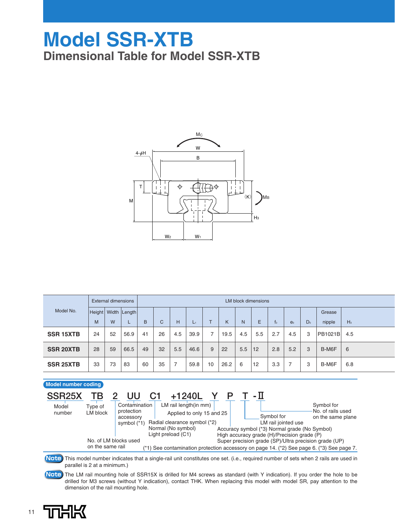## **Model SSR-XTB Dimensional Table for Model SSR-XTB**



|                  | External dimensions |    |                         |    | LM block dimensions |     |      |              |      |     |     |     |                |                |                |       |
|------------------|---------------------|----|-------------------------|----|---------------------|-----|------|--------------|------|-----|-----|-----|----------------|----------------|----------------|-------|
| Model No.        |                     |    | Height   Width   Length |    |                     |     |      |              |      |     |     |     |                |                | Grease         |       |
|                  | M                   | W  | ┕                       | B  | C                   | н   | L1   | $\mathbf{r}$ | K    | N.  | E   | t0. | e <sub>0</sub> | D <sub>0</sub> | nipple         | $H_3$ |
| <b>SSR 15XTB</b> | 24                  | 52 | 56.9                    | 41 | 26                  | 4.5 | 39.9 | 7            | 19.5 | 4.5 | 5.5 | 2.7 | 4.5            | 3              | <b>PB1021B</b> | 4.5   |
| <b>SSR 20XTB</b> | 28                  | 59 | 66.5                    | 49 | 32                  | 5.5 | 46.6 | 9            | 22   | 5.5 | 12  | 2.8 | 5.2            | 3              | B-M6F          | 6     |
| <b>SSR 25XTB</b> | 33                  | 73 | 83                      | 60 | 35                  | 7   | 59.8 | 10           | 26.2 | 6   | 12  | 3.3 | $\overline{7}$ | 3              | B-M6F          | 6.8   |

### **Model number coding**

| SSR <sub>25</sub> X | ΤВ                    |                             | $+1240L$                                                  |                                                                                              |                                                                                              |                                                       |                                 |  |  |
|---------------------|-----------------------|-----------------------------|-----------------------------------------------------------|----------------------------------------------------------------------------------------------|----------------------------------------------------------------------------------------------|-------------------------------------------------------|---------------------------------|--|--|
| Model               | Type of               | Contamination<br>protection | LM rail length(in mm)                                     |                                                                                              |                                                                                              |                                                       | Symbol for<br>No. of rails used |  |  |
| number              | LM block              | accessory<br>symbol $(*1)$  | Applied to only 15 and 25<br>Radial clearance symbol (*2) |                                                                                              |                                                                                              | Symbol for<br>LM rail jointed use                     | on the same plane               |  |  |
|                     |                       |                             | Normal (No symbol)<br>Light preload (C1)                  | Accuracy symbol (*3) Normal grade (No Symbol)<br>High accuracy grade (H)/Precision grade (P) |                                                                                              |                                                       |                                 |  |  |
|                     | No. of LM blocks used |                             |                                                           |                                                                                              |                                                                                              | Super precision grade (SP)/Ultra precision grade (UP) |                                 |  |  |
|                     | on the same rail      |                             |                                                           |                                                                                              | $(2)$ See contamination protection accessory on page 14. $(2)$ See page 6. $(2)$ See page 7. |                                                       |                                 |  |  |

This model number indicates that a single-rail unit constitutes one set. (i.e., required number of sets when 2 rails are used in **Note** parallel is 2 at a minimum.)

The LM rail mounting hole of SSR15X is drilled for M4 screws as standard (with Y indication). If you order the hole to be **Note** drilled for M3 screws (without Y indication), contact THK. When replacing this model with model SR, pay attention to the dimension of the rail mounting hole.

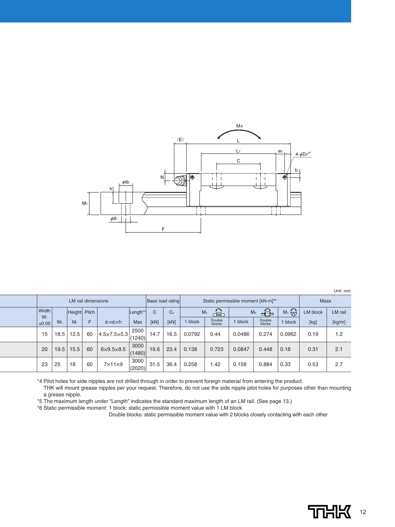

|                               |                                                                                                                                                                                                                                                      |  |  |                          |                |                |                                    |                                                        |                  |              |                     |                 |         | Unit: mm |
|-------------------------------|------------------------------------------------------------------------------------------------------------------------------------------------------------------------------------------------------------------------------------------------------|--|--|--------------------------|----------------|----------------|------------------------------------|--------------------------------------------------------|------------------|--------------|---------------------|-----------------|---------|----------|
|                               | LM rail dimensions<br>Height Pitch<br>F<br>W <sub>2</sub><br>M <sub>1</sub><br>$d_1 \times d_2 \times h$<br>12.5<br>60<br>$4.5 \times 7.5 \times 5.3$<br>18.5<br>15.5<br>60<br>19.5<br>$6\times9.5\times8.5$<br>25<br>60<br>18<br>$7\times11\times9$ |  |  | <b>Basic load rating</b> |                |                | Static permissible moment [kN-m]*6 |                                                        |                  |              | <b>Mass</b>         |                 |         |          |
| Width<br>$W_1$<br>±0.05<br>15 |                                                                                                                                                                                                                                                      |  |  | Length <sup>*</sup>      | C              | C <sub>0</sub> |                                    | $\triangle$<br>M <sub>A</sub><br>M <sub>B</sub><br>⊨⊟≐ |                  |              | $M \circ \bigoplus$ | <b>LM block</b> | LM rail |          |
|                               |                                                                                                                                                                                                                                                      |  |  |                          | <b>Max</b>     | [kN]           | [kN]                               | block                                                  | Double<br>blocks | <b>block</b> | Double<br>blocks    | block           | [kg]    | [kg/m]   |
|                               |                                                                                                                                                                                                                                                      |  |  |                          | 2500<br>(1240) | 14.7           | 16.5                               | 0.0792                                                 | 0.44             | 0.0486       | 0.274               | 0.0962          | 0.19    | 1.2      |
| 20                            |                                                                                                                                                                                                                                                      |  |  |                          | 3000<br>(1480) | 19.6           | 23.4                               | 0.138                                                  | 0.723            | 0.0847       | 0.448               | 0.18            | 0.31    | 2.1      |
| 23                            |                                                                                                                                                                                                                                                      |  |  |                          | 3000<br>(2020) | 31.5           | 36.4                               | 0.258                                                  | 1.42             | 0.158        | 0.884               | 0.33            | 0.53    | 2.7      |

\*4 Pilot holes for side nipples are not drilled through in order to prevent foreign material from entering the product.

THK will mount grease nipples per your request. Therefore, do not use the side nipple pilot holes for purposes other than mounting a grease nipple.

\*5 The maximum length under "Length" indicates the standard maximum length of an LM rail. (See page 13.)

\*6 Static permissible moment: 1 block: static permissible moment value with 1 LM block

 $\overline{a}$ 

Double blocks: static permissible moment value with 2 blocks closely contacting with each other

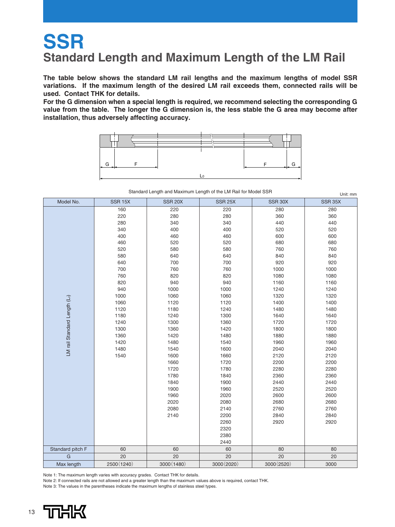## **SSR Standard Length and Maximum Length of the LM Rail**

**The table below shows the standard LM rail lengths and the maximum lengths of model SSR variations. If the maximum length of the desired LM rail exceeds them, connected rails will be used. Contact THK for details.**

**For the G dimension when a special length is required, we recommend selecting the corresponding G value from the table. The longer the G dimension is, the less stable the G area may become after installation, thus adversely affecting accuracy.**



Standard Length and Maximum Length of the LM Rail for Model SSR  $\overline{QCD}$  15Y SSR 20X SSR 25X SSR 30X

 $SCD 35Y$ 

| <b>INIONEL IND.</b>                      | אטו וטט     | 0011201    | 0011201     | אשט ו וטט   | <u>UULLUUN</u> |
|------------------------------------------|-------------|------------|-------------|-------------|----------------|
|                                          | 160         | 220        | 220         | 280         | 280            |
|                                          | 220         | 280        | 280         | 360         | 360            |
|                                          | 280         | 340        | 340         | 440         | 440            |
|                                          | 340         | 400        | 400         | 520         | 520            |
|                                          | 400         | 460        | 460         | 600         | 600            |
|                                          | 460         | 520        | 520         | 680         | 680            |
|                                          | 520         | 580        | 580         | 760         | 760            |
|                                          | 580         | 640        | 640         | 840         | 840            |
|                                          | 640         | 700        | 700         | 920         | 920            |
|                                          | 700         | 760        | 760         | 1000        | 1000           |
|                                          | 760         | 820        | 820         | 1080        | 1080           |
|                                          | 820         | 940        | 940         | 1160        | 1160           |
|                                          | 940         | 1000       | 1000        | 1240        | 1240           |
|                                          | 1000        | 1060       | 1060        | 1320        | 1320           |
|                                          | 1060        | 1120       | 1120        | 1400        | 1400           |
| LM rail Standard Length (L <sub>o)</sub> | 1120        | 1180       | 1240        | 1480        | 1480           |
|                                          | 1180        | 1240       | 1300        | 1640        | 1640           |
|                                          | 1240        | 1300       | 1360        | 1720        | 1720           |
|                                          | 1300        | 1360       | 1420        | 1800        | 1800           |
|                                          | 1360        | 1420       | 1480        | 1880        | 1880           |
|                                          | 1420        | 1480       | 1540        | 1960        | 1960           |
|                                          | 1480        | 1540       | 1600        | 2040        | 2040           |
|                                          | 1540        | 1600       | 1660        | 2120        | 2120           |
|                                          |             | 1660       | 1720        | 2200        | 2200           |
|                                          |             | 1720       | 1780        | 2280        | 2280           |
|                                          |             | 1780       | 1840        | 2360        | 2360           |
|                                          |             | 1840       | 1900        | 2440        | 2440           |
|                                          |             | 1900       | 1960        | 2520        | 2520           |
|                                          |             | 1960       | 2020        | 2600        | 2600           |
|                                          |             | 2020       | 2080        | 2680        | 2680           |
|                                          |             | 2080       | 2140        | 2760        | 2760           |
|                                          |             | 2140       | 2200        | 2840        | 2840           |
|                                          |             |            | 2260        | 2920        | 2920           |
|                                          |             |            | 2320        |             |                |
|                                          |             |            | 2380        |             |                |
|                                          |             |            | 2440        |             |                |
| Standard pitch F                         | 60          | 60         | 60          | 80          | 80             |
| $\mathsf{G}$                             | 20          | 20         | 20          | 20          | 20             |
| Max length                               | 2500 (1240) | 3000(1480) | 3000 (2020) | 3000 (2520) | 3000           |

Note 1: The maximum length varies with accuracy grades. Contact THK for details.

Note 2: If connected rails are not allowed and a greater length than the maximum values above is required, contact THK.

Note 3: The values in the parentheses indicate the maximum lengths of stainless steel types.



Model No.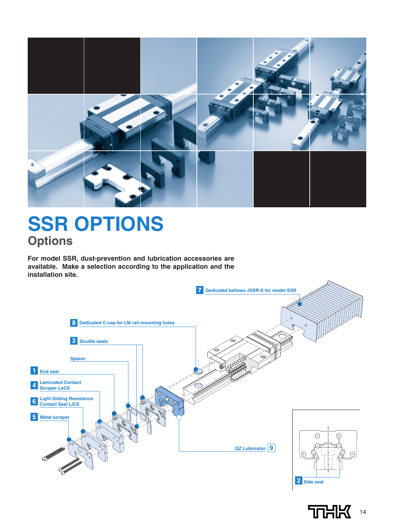

# **SSR OPTIONS Options**

**For model SSR, dust-prevention and lubrication accessories are available. Make a selection according to the application and the installation site.**



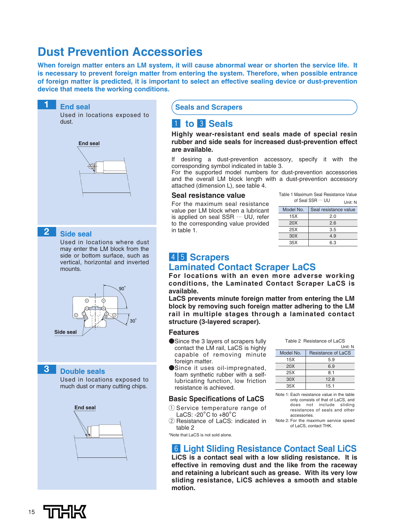## **Dust Prevention Accessories**

**When foreign matter enters an LM system, it will cause abnormal wear or shorten the service life. It is necessary to prevent foreign matter from entering the system. Therefore, when possible entrance of foreign matter is predicted, it is important to select an effective sealing device or dust-prevention device that meets the working conditions.**



### **Seals and Scrapers**

### **1** to **8** Seals

**Highly wear-resistant end seals made of special resin rubber and side seals for increased dust-prevention effect are available.**

If desiring a dust-prevention accessory, specify it with the corresponding symbol indicated in table 3.

For the supported model numbers for dust-prevention accessories and the overall LM block length with a dust-prevention accessory attached (dimension L), see table 4.

### **Seal resistance value**

For the maximum seal resistance value per LM block when a lubricant is applied on seal SSR … UU, refer to the corresponding value provided in table 1.

|                 | Table 1 Maximum Seal Resistance Value     |  |  |  |  |  |  |  |  |
|-----------------|-------------------------------------------|--|--|--|--|--|--|--|--|
|                 | of Seal SSR ··· UU<br>Unit <sup>.</sup> N |  |  |  |  |  |  |  |  |
| Model No.       | Seal resistance value                     |  |  |  |  |  |  |  |  |
| 15X             | 2 በ                                       |  |  |  |  |  |  |  |  |
| 20X             | 26                                        |  |  |  |  |  |  |  |  |
| 25X             | 3.5                                       |  |  |  |  |  |  |  |  |
| 30 <sub>X</sub> | 49                                        |  |  |  |  |  |  |  |  |
| 35X             | ճ 3                                       |  |  |  |  |  |  |  |  |

## **4 5 Scrapers**

### **Laminated Contact Scraper LaCS**

**For locations with an even more adverse working conditions, the Laminated Contact Scraper LaCS is available.** 

**LaCS prevents minute foreign matter from entering the LM block by removing such foreign matter adhering to the LM rail in multiple stages through a laminated contact structure (3-layered scraper).**

### **Features**

- ●Since the 3 layers of scrapers fully contact the LM rail, LaCS is highly capable of removing minute foreign matter.
- ●Since it uses oil-impregnated, foam synthetic rubber with a selflubricating function, low friction resistance is achieved.

### **Basic Specifications of LaCS**

- 1 Service temperature range of LaCS: -20。 C to +80。 C
- 2 Resistance of LaCS: indicated in table 2

|           | Table 2 Resistance of LaCS |  |  |  |  |  |  |  |  |
|-----------|----------------------------|--|--|--|--|--|--|--|--|
|           | Unit: N                    |  |  |  |  |  |  |  |  |
| Model No. | Resistance of LaCS         |  |  |  |  |  |  |  |  |
| 15X       | 5.9                        |  |  |  |  |  |  |  |  |
| 20X       | 6.9                        |  |  |  |  |  |  |  |  |
| 25X       | 8.1                        |  |  |  |  |  |  |  |  |
| 30X       | 12.8                       |  |  |  |  |  |  |  |  |
| 35X       | 15.1                       |  |  |  |  |  |  |  |  |
|           |                            |  |  |  |  |  |  |  |  |

Note 1: Each resistance value in the table only consists of that of LaCS, and does not include sliding resistances of seals and other accessories.

Note 2: For the maximum service speed of LaCS, contact THK.

\*Note that LaCS is not sold alone.

### n **Light Sliding Resistance Contact Seal LiCS**

**LiCS is a contact seal with a low sliding resistance. It is effective in removing dust and the like from the raceway and retaining a lubricant such as grease. With its very low sliding resistance, LiCS achieves a smooth and stable motion.**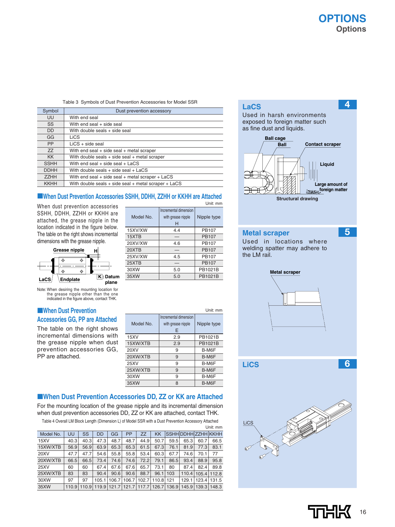**4**

### Table 3 Symbols of Dust Prevention Accessories for Model SSR

| Symbol      | Dust prevention accessory                                  |
|-------------|------------------------------------------------------------|
| UU          | With end seal                                              |
| SS          | With end seal + side seal                                  |
| <b>DD</b>   | With double seals + side seal                              |
| GG          | LiCS                                                       |
| <b>PP</b>   | $LiCS + side$ seal                                         |
| ZZ          | With end seal $+$ side seal $+$ metal scraper              |
| <b>KK</b>   | With double seals $+$ side seal $+$ metal scraper          |
| <b>SSHH</b> | With end seal + side seal + LaCS                           |
| <b>DDHH</b> | With double seals $+$ side seal $+$ LaCS                   |
| <b>ZZHH</b> | With end seal + side seal + metal scraper + LaCS           |
| <b>KKHH</b> | With double seals $+$ side seal $+$ metal scraper $+$ LaCS |

### ■**When Dust Prevention Accessories SSHH, DDHH, ZZHH or KKHH are Attached** Unit: mm

When dust prevention accessories SSHH, DDHH, ZZHH or KKHH are attached, the grease nipple in the location indicated in the figure below. The table on the right shows incremental



Note: When desiring the mounting location for the grease nipple other than the one indicated in the figure above, contact THK.

### ■**When Dust Prevention Accessories GG, PP are Attached**

The table on the right shows incremental dimensions with the grease nipple when dust prevention accessories GG, PP are attached.

| Model No. | Incremental dimension<br>with grease nipple<br>н | Nipple type  |
|-----------|--------------------------------------------------|--------------|
| 15XV/XW   | 4.4                                              | PB107        |
| 15XTB     |                                                  | <b>PB107</b> |
| 20XV/XW   | 4.6                                              | <b>PB107</b> |
| 20XTB     |                                                  | <b>PB107</b> |
| 25XV/XW   | 4.5                                              | <b>PB107</b> |
| 25XTB     |                                                  | <b>PB107</b> |
| 30XW      | 5.0                                              | PB1021B      |
| 35XW      | 5.0                                              | PB1021B      |

|           |                                                  | Unit: mm    |
|-----------|--------------------------------------------------|-------------|
| Model No. | Incremental dimension<br>with grease nipple<br>Е | Nipple type |
| 15XY      | 2.9                                              | PB1021B     |
| 15XW/XTB  | 2.9                                              | PB1021B     |
| 20XV      | 9                                                | B-M6F       |
| 20XW/XTB  | 9                                                | B-M6F       |
| 25XV      | 9                                                | B-M6F       |
| 25XW/XTB  | 9                                                | B-M6F       |
| 30XW      | 9                                                | B-M6F       |
| 35XW      | 8                                                | B-M6F       |

### ■**When Dust Prevention Accessories DD, ZZ or KK are Attached**

For the mounting location of the grease nipple and its incremental dimension when dust prevention accessories DD, ZZ or KK are attached, contact THK.

Table 4 Overall LM Block Length (Dimension L) of Model SSR with a Dust Prevention Accessory Attached

|             |       |       |           |       |           |           |       |               |                            |                       | Unit: mm |
|-------------|-------|-------|-----------|-------|-----------|-----------|-------|---------------|----------------------------|-----------------------|----------|
| Model No.   | UU    | SS    | <b>DD</b> | GG    | <b>PP</b> | <b>ZZ</b> | KK    |               | <b>SSHHIDDHHIZZHHIKKHH</b> |                       |          |
| 15XV        | 40.3  | 40.3  | 47.3      | 48.7  | 48.7      | 44.9      | 50.7  | 59.5          | 65.3                       | 60.7                  | 66.5     |
| 15XW/XTB    | 56.9  | 56.9  | 63.9      | 65.3  | 65.3      | 61.5      | 67.3  | 76.1          | 81.9                       | 77.3                  | 83.1     |
| <b>20XV</b> | 47.7  | 47.7  | 54.6      | 55.8  | 55.8      | 53.4      | 60.3  | 67.7          | 74.6                       | 70.1                  | 77       |
| 20XW/XTB    | 66.5  | 66.5  | 73.4      | 74.6  | 74.6      | 72.2      | 79.1  | 86.5          | 93.4                       | 88.9                  | 95.8     |
| <b>25XV</b> | 60    | 60    | 67.4      | 67.6  | 67.6      | 65.7      | 73.1  | 80            | 87.4                       | 82.4                  | 89.8     |
| 25XW/XTB    | 83    | 83    | 90.4      | 90.6  | 90.6      | 88.7      | 96.1  | 103           | 110.4                      | 105.4                 | 112.8    |
| 30XW        | 97    | 97    | 105.1     | 106.7 | 106.7     | 102.7     | 110.8 | 121           | 129.1                      | 123.4                 | 131.5    |
| 35XW        | 110.9 | 110.9 | 119.9     | 121.7 | 121.7     | 117.7     |       | 126.7   136.9 |                            | 145.9   139.3   148.3 |          |

### **LaCS**

Used in harsh environments exposed to foreign matter such as fine dust and liquids.



### **Metal scraper**

**5**

Used in locations where welding spatter may adhere to the LM rail.





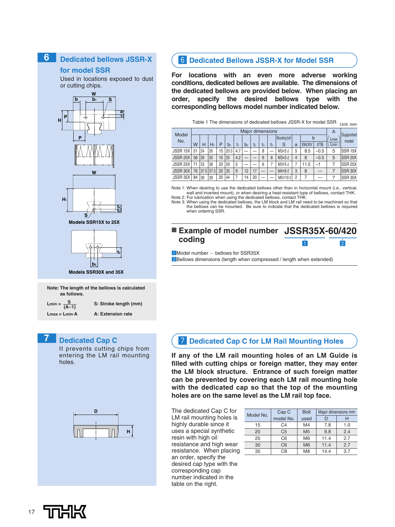### **Dedicated bellows JSSR-X 6**

**for model SSR**

Used in locations exposed to dust or cutting chips.



**Models SSR30X and 35X**

**Note: The length of the bellows is calculated as follows.**

 $Lmin = \frac{S}{(A-1)}$  **S: Stroke length (mm)** 

**Lmax = Lmin.A A: Extension rate**

### **7 Dedicated Cap C**

It prevents cutting chips from entering the LM rail mounting holes.



### **6** Dedicated Bellows JSSR-X for Model SSR

**For locations with an even more adverse working conditions, dedicated bellows are available. The dimensions of the dedicated bellows are provided below. When placing an order, specify the desired bellows type with the corresponding bellows model number indicated below.**

| Model    | Major dimensions |           |       |    |       |       |                |    |                |    |               |                | $\overline{A}$ | Supported  |      |                     |
|----------|------------------|-----------|-------|----|-------|-------|----------------|----|----------------|----|---------------|----------------|----------------|------------|------|---------------------|
| No.      |                  |           |       |    |       |       |                |    |                |    | Mounting bolt |                | b              |            | Lmax | model               |
|          | w                | н         | $H_1$ | P  | $b_1$ | $t_1$ | b <sub>2</sub> | t  | t <sub>3</sub> | t4 | S             | a              | <b>XW/XV</b>   | <b>XTB</b> | Lmin |                     |
| JSSR 15X | 51               | 24        | 26    | 15 | 20.5  | 4.7   |                |    | 8              | –  | M3×5 l        | 5              | 8.5            | $-0.5$     | 5    | SSR <sub>15</sub> X |
| JSSR 20X | 58               | 26        | 30    | 15 | 25    | 4.2   | –              |    | 6              | 6  | M3×5 l        | 4              | 8              | $-0.5$     | 5    | <b>SSR 20X</b>      |
| JSSR 25X | 71               | 33        | 38    | 20 | 29    | 5     |                |    | 6              |    | M3×5 l        |                | 11.5           | -1         |      | <b>SSR 25X</b>      |
| JSSR 30X | 76               | 37.5 37.5 |       | 20 | 35    | 9     | 12             | 17 |                |    | M4×6 L        | 3              | 8              |            |      | SSR 30X             |
| JSSR 35X | 84               | 39        | 39    | 20 | 44    |       | 14             | 20 |                |    | M5×10 l       | $\mathfrak{p}$ |                |            |      | SSR 35X             |

Table 1 The dimensions of dedicated bellows JSSR-X for model SSR  $|_{\mathsf{Unit: mm}}$ 

Note 1: When desiring to use the dedicated bellows other than in horizontal mount (i.e., vertical, wall and inverted mount), or when desiring a heat-resistant type of bellows, contact THK. Note 2: For lubrication when using the dedicated bellows, contact THK.

Note 3: When using the dedicated bellows, the LM block and LM rail need to be machined so that the bellows can be mounted. Be sure to indicate that the dedicated bellows is required when ordering SSR.

### ■ **Example of model number** JSSR35X-60/420 **coding**  $\boxed{1}$   $\boxed{2}$

1 Model number ... bellows for SSR35X

2 Bellows dimensions (length when compressed / length when extended)

### **7** Dedicated Cap C for LM Rail Mounting Holes

**If any of the LM rail mounting holes of an LM Guide is filled with cutting chips or foreign matter, they may enter the LM block structure. Entrance of such foreign matter can be prevented by covering each LM rail mounting hole with the dedicated cap so that the top of the mounting holes are on the same level as the LM rail top face.**

The dedicated Cap C for LM rail mounting holes is highly durable since it uses a special synthetic resin with high oil resistance and high wear resistance. When placing an order, specify the desired cap type with the corresponding cap number indicated in the table on the right.

| Model No. | Cap C          | <b>Bolt</b>    | Major dimensions mm |     |  |  |
|-----------|----------------|----------------|---------------------|-----|--|--|
|           | model No.      | used           |                     | н   |  |  |
| 15        | C4             | M4             | 7.8                 | 1.0 |  |  |
| 20        | C <sub>5</sub> | M <sub>5</sub> | 9.8                 | 2.4 |  |  |
| 25        | C <sub>6</sub> | M <sub>6</sub> | 11.4                | 2.7 |  |  |
| 30        | C <sub>6</sub> | M <sub>6</sub> | 11.4                | 2.7 |  |  |
| 35        | C8             | M <sub>8</sub> | 14.4                | 3.7 |  |  |

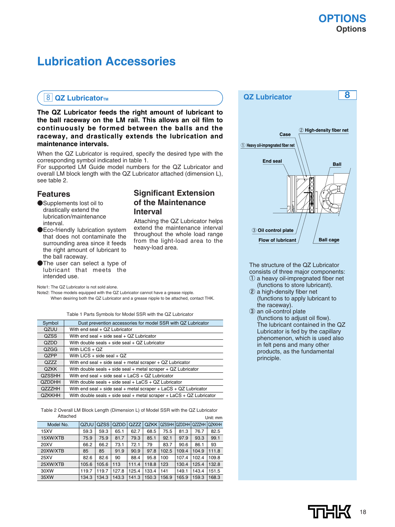## **Lubrication Accessories**

### 8 QZ Lubricator<sub>TM</sub>

**The QZ Lubricator feeds the right amount of lubricant to the ball raceway on the LM rail. This allows an oil film to continuously be formed between the balls and the raceway, and drastically extends the lubrication and maintenance intervals.**

When the QZ Lubricator is required, specify the desired type with the corresponding symbol indicated in table 1.

For supported LM Guide model numbers for the QZ Lubricator and overall LM block length with the QZ Lubricator attached (dimension L), see table 2.

### **Features**

- ●Supplements lost oil to drastically extend the lubrication/maintenance interval.
- ●Eco-friendly lubrication system that does not contaminate the surrounding area since it feeds the right amount of lubricant to the ball raceway.
- The user can select a type of lubricant that meets the intended use.

Note1: The QZ Lubricator is not sold alone.

Note2: Those models equipped with the QZ Lubricator cannot have a grease nipple. When desiring both the QZ Lubricator and a grease nipple to be attached, contact THK.

Table 1 Parts Symbols for Model SSR with the QZ Lubricator

| Symbol        | Dust prevention accessories for model SSR with QZ Lubricator             |
|---------------|--------------------------------------------------------------------------|
| QZUU          | With end seal + QZ Lubricator                                            |
| <b>QZSS</b>   | With end seal $+$ side seal $+$ QZ Lubricator                            |
| QZDD          | With double seals + side seal + QZ Lubricator                            |
| QZGG          | With $LiCS + QZ$                                                         |
| QZPP          | With LiCS $+$ side seal $+$ QZ                                           |
| <b>QZZZ</b>   | With end seal $+$ side seal $+$ metal scraper $+$ QZ Lubricator          |
| <b>QZKK</b>   | With double seals $+$ side seal $+$ metal scraper $+$ QZ Lubricator      |
| <b>QZSSHH</b> | With end seal $+$ side seal $+$ LaCS $+$ QZ Lubricator                   |
| <b>QZDDHH</b> | With double seals + side seal + LaCS + QZ Lubricator                     |
| <b>QZZZHH</b> | With end seal $+$ side seal $+$ metal scraper $+$ LaCS $+$ QZ Lubricator |
| <b>QZKKHH</b> | With double seals + side seal + metal scraper + $LACS + QZ$ Lubricator   |

Table 2 Overall LM Block Length (Dimension L) of Model SSR with the QZ Lubricator Attached Unit: mm

| Model No.   | QZUU  | <b>QZSS</b> | QZDD  | QZZZ  | QZKK  |       | QZSSHH QZDDHH QZZZHH |       | <b>QZKKHH</b> |
|-------------|-------|-------------|-------|-------|-------|-------|----------------------|-------|---------------|
| 15XV        | 59.3  | 59.3        | 65.1  | 62.7  | 68.5  | 75.5  | 81.3                 | 76.7  | 82.5          |
| 15XW/XTB    | 75.9  | 75.9        | 81.7  | 79.3  | 85.1  | 92.1  | 97.9                 | 93.3  | 99.1          |
| <b>20XV</b> | 66.2  | 66.2        | 73.1  | 72.1  | 79    | 83.7  | 90.6                 | 86.1  | 93            |
| 20XW/XTB    | 85    | 85          | 91.9  | 90.9  | 97.8  | 102.5 | 109.4                | 104.9 | 111.8         |
| 25XV        | 82.6  | 82.6        | 90    | 88.4  | 95.8  | 100   | 107.4                | 102.4 | 109.8         |
| 25XW/XTB    | 105.6 | 105.6       | 113   | 111.4 | 118.8 | 123   | 130.4                | 125.4 | 132.8         |
| 30XW        | 119.7 | 119.7       | 127.8 | 125.4 | 133.4 | 141   | 149.1                | 143.4 | 151.5         |
| 35XW        | 134.3 | 134.3       | 143.3 | 141.3 | 150.3 | 156.9 | 165.9                | 159.3 | 168.3         |

# **Significant Extension of the Maintenance**

### **Interval**

Attaching the QZ Lubricator helps extend the maintenance interval throughout the whole load range from the light-load area to the heavy-load area.

### **QZ Lubricator 8**



The structure of the QZ Lubricator consists of three major components:

- ① a heavy oil-impregnated fiber net (functions to store lubricant).
- ② a high-density fiber net (functions to apply lubricant to the raceway).
- ③ an oil-control plate (functions to adjust oil flow). The lubricant contained in the QZ Lubricator is fed by the capillary phenomenon, which is used also in felt pens and many other products, as the fundamental principle.